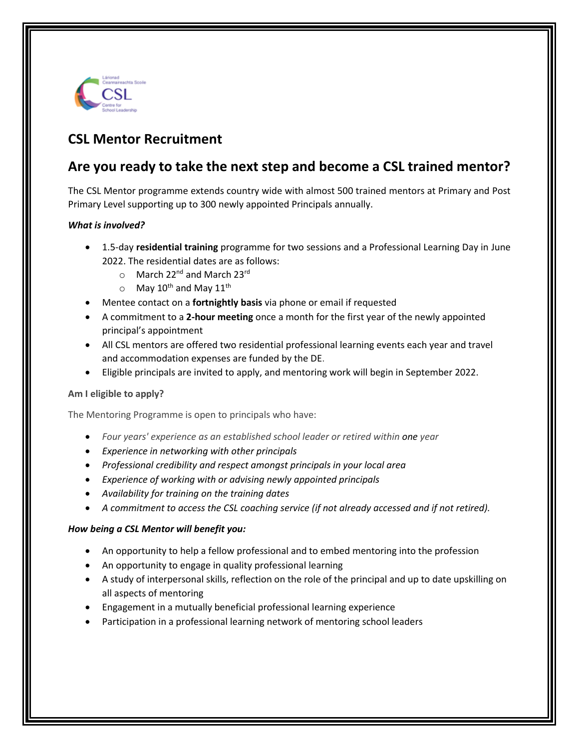

# **CSL Mentor Recruitment**

## **Are you ready to take the next step and become a CSL trained mentor?**

The CSL Mentor programme extends country wide with almost 500 trained mentors at Primary and Post Primary Level supporting up to 300 newly appointed Principals annually.

### *What is involved?*

- 1.5-day **residential training** programme for two sessions and a Professional Learning Day in June 2022. The residential dates are as follows:
	- o March 22<sup>nd</sup> and March 23<sup>rd</sup>
	- $\circ$  May 10<sup>th</sup> and May 11<sup>th</sup>
- Mentee contact on a **fortnightly basis** via phone or email if requested
- A commitment to a **2-hour meeting** once a month for the first year of the newly appointed principal's appointment
- All CSL mentors are offered two residential professional learning events each year and travel and accommodation expenses are funded by the DE.
- Eligible principals are invited to apply, and mentoring work will begin in September 2022.

### **Am I eligible to apply?**

The Mentoring Programme is open to principals who have:

- *Four years' experience as an established school leader or retired within one year*
- *Experience in networking with other principals*
- *Professional credibility and respect amongst principals in your local area*
- *Experience of working with or advising newly appointed principals*
- *Availability for training on the training dates*
- *A commitment to access the CSL coaching service (if not already accessed and if not retired).*

### *How being a CSL Mentor will benefit you:*

- An opportunity to help a fellow professional and to embed mentoring into the profession
- An opportunity to engage in quality professional learning
- A study of interpersonal skills, reflection on the role of the principal and up to date upskilling on all aspects of mentoring
- Engagement in a mutually beneficial professional learning experience
- Participation in a professional learning network of mentoring school leaders